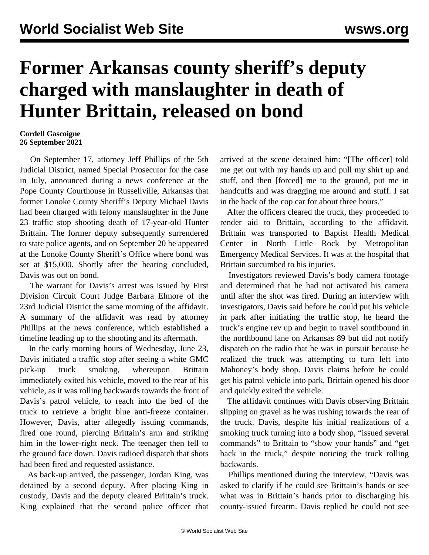## **Former Arkansas county sheriff's deputy charged with manslaughter in death of Hunter Brittain, released on bond**

## **Cordell Gascoigne 26 September 2021**

 On September 17, attorney Jeff Phillips of the 5th Judicial District, named Special Prosecutor for the case in July, announced during a news conference at the Pope County Courthouse in Russellville, Arkansas that former Lonoke County Sheriff's Deputy Michael Davis had been charged with felony manslaughter in the June 23 traffic stop shooting death of 17-year-old Hunter Brittain. The former deputy subsequently surrendered to state police agents, and on September 20 he appeared at the Lonoke County Sheriff's Office where bond was set at \$15,000. Shortly after the hearing concluded, Davis was out on bond.

 The warrant for Davis's arrest was issued by First Division Circuit Court Judge Barbara Elmore of the 23rd Judicial District the same morning of the affidavit. A summary of the affidavit was read by attorney Phillips at the news conference, which established a timeline leading up to the shooting and its aftermath.

 In the early morning hours of Wednesday, June 23, Davis initiated a traffic stop after seeing a white GMC pick-up truck smoking, whereupon Brittain immediately exited his vehicle, moved to the rear of his vehicle, as it was rolling backwards towards the front of Davis's patrol vehicle, to reach into the bed of the truck to retrieve a bright blue anti-freeze container. However, Davis, after allegedly issuing commands, fired one round, piercing Brittain's arm and striking him in the lower-right neck. The teenager then fell to the ground face down. Davis radioed dispatch that shots had been fired and requested assistance.

 As back-up arrived, the passenger, Jordan King, was detained by a second deputy. After placing King in custody, Davis and the deputy cleared Brittain's truck. King explained that the second police officer that arrived at the scene detained him: "[The officer] told me get out with my hands up and pull my shirt up and stuff, and then [forced] me to the ground, put me in handcuffs and was dragging me around and stuff. I sat in the back of the cop car for about three hours."

 After the officers cleared the truck, they proceeded to render aid to Brittain, according to the affidavit. Brittain was transported to Baptist Health Medical Center in North Little Rock by Metropolitan Emergency Medical Services. It was at the hospital that Brittain succumbed to his injuries.

 Investigators reviewed Davis's body camera footage and determined that he had not activated his camera until after the shot was fired. During an interview with investigators, Davis said before he could put his vehicle in park after initiating the traffic stop, he heard the truck's engine rev up and begin to travel southbound in the northbound lane on Arkansas 89 but did not notify dispatch on the radio that he was in pursuit because he realized the truck was attempting to turn left into Mahoney's body shop. Davis claims before he could get his patrol vehicle into park, Brittain opened his door and quickly exited the vehicle.

 The affidavit continues with Davis observing Brittain slipping on gravel as he was rushing towards the rear of the truck. Davis, despite his initial realizations of a smoking truck turning into a body shop, "issued several commands" to Brittain to "show your hands" and "get back in the truck," despite noticing the truck rolling backwards.

 Phillips mentioned during the interview, "Davis was asked to clarify if he could see Brittain's hands or see what was in Brittain's hands prior to discharging his county-issued firearm. Davis replied he could not see